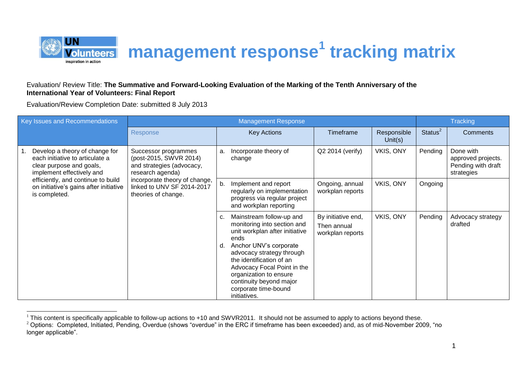

## Evaluation/ Review Title: **The Summative and Forward-Looking Evaluation of the Marking of the Tenth Anniversary of the International Year of Volunteers: Final Report**

Evaluation/Review Completion Date: submitted 8 July 2013

| Key Issues and Recommendations                                                                                             | <b>Management Response</b>                                                                                                                                                            |          |                                                                                                                                                                                                                                                                                                                  |                                                       |                           |                     | <b>Tracking</b>                                                     |  |  |
|----------------------------------------------------------------------------------------------------------------------------|---------------------------------------------------------------------------------------------------------------------------------------------------------------------------------------|----------|------------------------------------------------------------------------------------------------------------------------------------------------------------------------------------------------------------------------------------------------------------------------------------------------------------------|-------------------------------------------------------|---------------------------|---------------------|---------------------------------------------------------------------|--|--|
|                                                                                                                            | <b>Response</b>                                                                                                                                                                       |          | <b>Key Actions</b>                                                                                                                                                                                                                                                                                               | Timeframe                                             | Responsible<br>Unit $(s)$ | Status <sup>2</sup> | <b>Comments</b>                                                     |  |  |
| Develop a theory of change for<br>each initiative to articulate a<br>clear purpose and goals,<br>implement effectively and | Successor programmes<br>(post-2015, SWVR 2014)<br>and strategies (advocacy,<br>research agenda)<br>incorporate theory of change,<br>linked to UNV SF 2014-2017<br>theories of change. | a.       | Incorporate theory of<br>change                                                                                                                                                                                                                                                                                  | Q2 2014 (verify)                                      | VKIS, ONY                 | Pending             | Done with<br>approved projects.<br>Pending with draft<br>strategies |  |  |
| efficiently, and continue to build<br>on initiative's gains after initiative<br>is completed.                              |                                                                                                                                                                                       | b.       | Implement and report<br>regularly on implementation<br>progress via regular project<br>and workplan reporting                                                                                                                                                                                                    | Ongoing, annual<br>workplan reports                   | VKIS, ONY                 | Ongoing             |                                                                     |  |  |
|                                                                                                                            |                                                                                                                                                                                       | C.<br>d. | Mainstream follow-up and<br>monitoring into section and<br>unit workplan after initiative<br>ends<br>Anchor UNV's corporate<br>advocacy strategy through<br>the identification of an<br>Advocacy Focal Point in the<br>organization to ensure<br>continuity beyond major<br>corporate time-bound<br>initiatives. | By initiative end,<br>Then annual<br>workplan reports | VKIS, ONY                 | Pending             | Advocacy strategy<br>drafted                                        |  |  |

  $1$  This content is specifically applicable to follow-up actions to +10 and SWVR2011. It should not be assumed to apply to actions beyond these.

<sup>&</sup>lt;sup>2</sup> Options: Completed, Initiated, Pending, Overdue (shows "overdue" in the ERC if timeframe has been exceeded) and, as of mid-November 2009, "no longer applicable".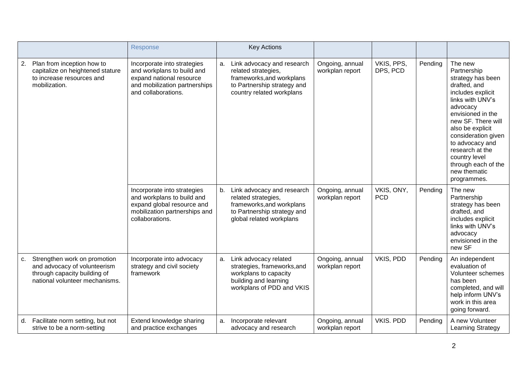|                                                                                                                                   | Response                                                                                                                                      |    | <b>Key Actions</b>                                                                                                                         |                                    |                          |         |                                                                                                                                                                                                                                                                                                                     |
|-----------------------------------------------------------------------------------------------------------------------------------|-----------------------------------------------------------------------------------------------------------------------------------------------|----|--------------------------------------------------------------------------------------------------------------------------------------------|------------------------------------|--------------------------|---------|---------------------------------------------------------------------------------------------------------------------------------------------------------------------------------------------------------------------------------------------------------------------------------------------------------------------|
| 2. Plan from inception how to<br>capitalize on heightened stature<br>to increase resources and<br>mobilization.                   | Incorporate into strategies<br>and workplans to build and<br>expand national resource<br>and mobilization partnerships<br>and collaborations. | а. | Link advocacy and research<br>related strategies,<br>frameworks, and workplans<br>to Partnership strategy and<br>country related workplans | Ongoing, annual<br>workplan report | VKIS, PPS,<br>DPS, PCD   | Pending | The new<br>Partnership<br>strategy has been<br>drafted, and<br>includes explicit<br>links with UNV's<br>advocacy<br>envisioned in the<br>new SF. There will<br>also be explicit<br>consideration given<br>to advocacy and<br>research at the<br>country level<br>through each of the<br>new thematic<br>programmes. |
|                                                                                                                                   | Incorporate into strategies<br>and workplans to build and<br>expand global resource and<br>mobilization partnerships and<br>collaborations.   | b. | Link advocacy and research<br>related strategies,<br>frameworks, and workplans<br>to Partnership strategy and<br>global related workplans  | Ongoing, annual<br>workplan report | VKIS, ONY,<br><b>PCD</b> | Pending | The new<br>Partnership<br>strategy has been<br>drafted, and<br>includes explicit<br>links with UNV's<br>advocacy<br>envisioned in the<br>new SF                                                                                                                                                                     |
| c. Strengthen work on promotion<br>and advocacy of volunteerism<br>through capacity building of<br>national volunteer mechanisms. | Incorporate into advocacy<br>strategy and civil society<br>framework                                                                          | a. | Link advocacy related<br>strategies, frameworks, and<br>workplans to capacity<br>building and learning<br>workplans of PDD and VKIS        | Ongoing, annual<br>workplan report | VKIS, PDD                | Pending | An independent<br>evaluation of<br>Volunteer schemes<br>has been<br>completed, and will<br>help inform UNV's<br>work in this area<br>going forward.                                                                                                                                                                 |
| d. Facilitate norm setting, but not<br>strive to be a norm-setting                                                                | Extend knowledge sharing<br>and practice exchanges                                                                                            | а. | Incorporate relevant<br>advocacy and research                                                                                              | Ongoing, annual<br>workplan report | VKIS. PDD                | Pending | A new Volunteer<br>Learning Strategy                                                                                                                                                                                                                                                                                |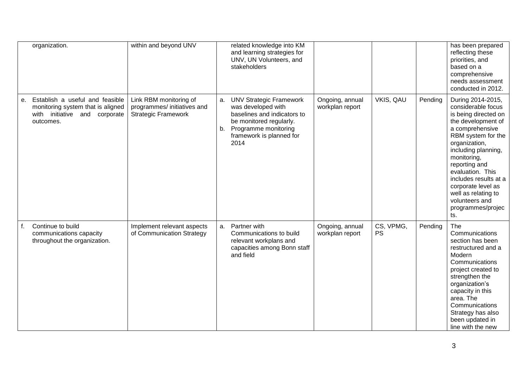|    | organization.                                                                                                                  | within and beyond UNV                                                               |          | related knowledge into KM<br>and learning strategies for<br>UNV, UN Volunteers, and<br>stakeholders                                                                        |                                    |                        |         | has been prepared<br>reflecting these<br>priorities, and<br>based on a<br>comprehensive<br>needs assessment<br>conducted in 2012.                                                                                                                                                                                                              |
|----|--------------------------------------------------------------------------------------------------------------------------------|-------------------------------------------------------------------------------------|----------|----------------------------------------------------------------------------------------------------------------------------------------------------------------------------|------------------------------------|------------------------|---------|------------------------------------------------------------------------------------------------------------------------------------------------------------------------------------------------------------------------------------------------------------------------------------------------------------------------------------------------|
|    | Establish a useful and feasible<br>е.<br>monitoring system that is aligned<br>initiative<br>and corporate<br>with<br>outcomes. | Link RBM monitoring of<br>programmes/ initiatives and<br><b>Strategic Framework</b> | a.<br>b. | <b>UNV Strategic Framework</b><br>was developed with<br>baselines and indicators to<br>be monitored regularly.<br>Programme monitoring<br>framework is planned for<br>2014 | Ongoing, annual<br>workplan report | VKIS, QAU              | Pending | During 2014-2015,<br>considerable focus<br>is being directed on<br>the development of<br>a comprehensive<br>RBM system for the<br>organization,<br>including planning,<br>monitoring,<br>reporting and<br>evaluation. This<br>includes results at a<br>corporate level as<br>well as relating to<br>volunteers and<br>programmes/projec<br>ts. |
| f. | Continue to build<br>communications capacity<br>throughout the organization.                                                   | Implement relevant aspects<br>of Communication Strategy                             | a.       | Partner with<br>Communications to build<br>relevant workplans and<br>capacities among Bonn staff<br>and field                                                              | Ongoing, annual<br>workplan report | CS, VPMG,<br><b>PS</b> | Pending | The<br>Communications<br>section has been<br>restructured and a<br>Modern<br>Communications<br>project created to<br>strengthen the<br>organization's<br>capacity in this<br>area. The<br>Communications<br>Strategy has also<br>been updated in<br>line with the new                                                                          |